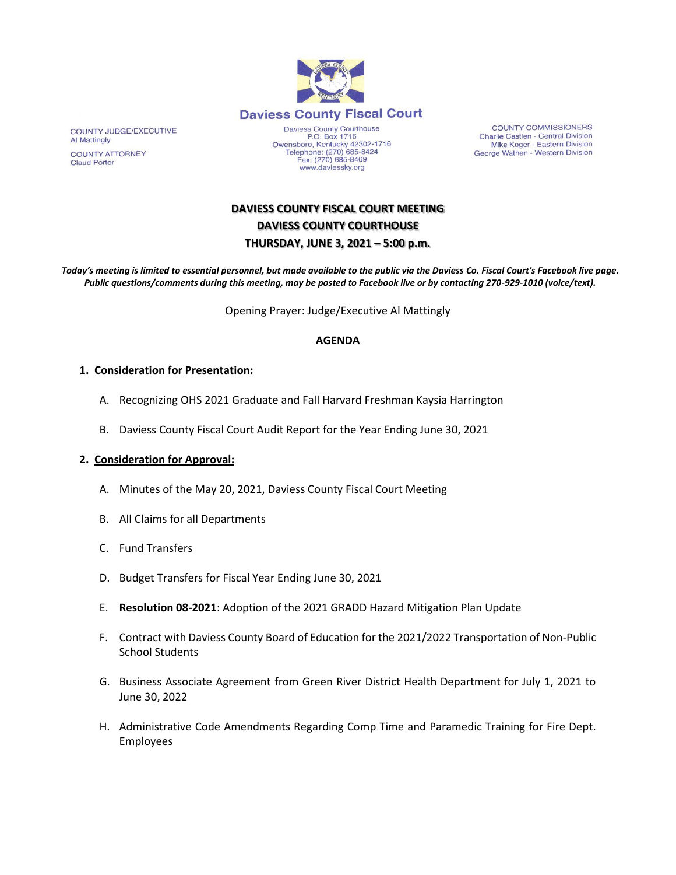

www.daviessky.org

COUNTY COMMISSIONERS Charlie Castlen - Central Division<br>Mike Koger - Eastern Division George Wathen - Western Division

# **DAVIESS COUNTY FISCAL COURT MEETING DAVIESS COUNTY COURTHOUSE THURSDAY, JUNE 3, 2021 – 5:00 p.m.**

*Today's meeting is limited to essential personnel, but made available to the public via the Daviess Co. Fiscal Court's Facebook live page. Public questions/comments during this meeting, may be posted to Facebook live or by contacting 270-929-1010 (voice/text).*

Opening Prayer: Judge/Executive Al Mattingly

## **AGENDA**

### **1. Consideration for Presentation:**

- A. Recognizing OHS 2021 Graduate and Fall Harvard Freshman Kaysia Harrington
- B. Daviess County Fiscal Court Audit Report for the Year Ending June 30, 2021

## **2. Consideration for Approval:**

- A. Minutes of the May 20, 2021, Daviess County Fiscal Court Meeting
- B. All Claims for all Departments
- C. Fund Transfers
- D. Budget Transfers for Fiscal Year Ending June 30, 2021
- E. **Resolution 08-2021**: Adoption of the 2021 GRADD Hazard Mitigation Plan Update
- F. Contract with Daviess County Board of Education for the 2021/2022 Transportation of Non-Public School Students
- G. Business Associate Agreement from Green River District Health Department for July 1, 2021 to June 30, 2022
- H. Administrative Code Amendments Regarding Comp Time and Paramedic Training for Fire Dept. Employees

COUNTY JUDGE/EXECUTIVE Al Mattingly **COUNTY ATTORNEY Claud Porter**